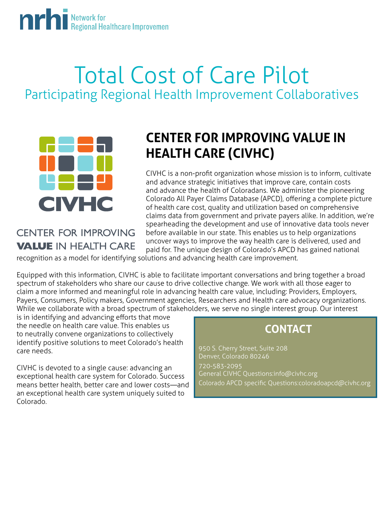# **Michel All Regional Healthcare Improvement**

## Total Cost of Care Pilot Participating Regional Health Improvement Collaboratives



### **CENTER FOR IMPROVING VALUE IN HEALTH CARE**

## **CENTER FOR IMPROVING VALUE IN HEALTH CARE (CIVHC)**

CIVHC is a non-profit organization whose mission is to inform, cultivate and advance strategic initiatives that improve care, contain costs and advance the health of Coloradans. We administer the pioneering Colorado All Payer Claims Database (APCD), offering a complete picture of health care cost, quality and utilization based on comprehensive claims data from government and private payers alike. In addition, we're spearheading the development and use of innovative data tools never before available in our state. This enables us to help organizations uncover ways to improve the way health care is delivered, used and paid for. The unique design of Colorado's APCD has gained national

recognition as a model for identifying solutions and advancing health care improvement.

Equipped with this information, CIVHC is able to facilitate important conversations and bring together a broad spectrum of stakeholders who share our cause to drive collective change. We work with all those eager to claim a more informed and meaningful role in advancing health care value, including: Providers, Employers, Payers, Consumers, Policy makers, Government agencies, Researchers and Health care advocacy organizations. While we collaborate with a broad spectrum of stakeholders, we serve no single interest group. Our interest

is in identifying and advancing efforts that move the needle on health care value. This enables us to neutrally convene organizations to collectively identify positive solutions to meet Colorado's health care needs.

CIVHC is devoted to a single cause: advancing an exceptional health care system for Colorado. Success means better health, better care and lower costs—and an exceptional health care system uniquely suited to Colorado.

### **CONTACT**

950 S. Cherry Street, Suite 208 Denver, Colorado 80246 720-583-2095 General CIVHC Questions:info@civhc.org Colorado APCD specific Questions:coloradoapcd@civhc.org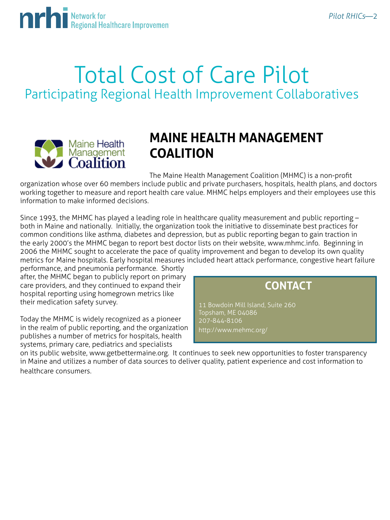

## Total Cost of Care Pilot Participating Regional Health Improvement Collaboratives



### **MAINE HEALTH MANAGEMENT COALITION**

The Maine Health Management Coalition (MHMC) is a non-profit

organization whose over 60 members include public and private purchasers, hospitals, health plans, and doctors working together to measure and report health care value. MHMC helps employers and their employees use this information to make informed decisions.

Since 1993, the MHMC has played a leading role in healthcare quality measurement and public reporting – both in Maine and nationally. Initially, the organization took the initiative to disseminate best practices for common conditions like asthma, diabetes and depression, but as public reporting began to gain traction in the early 2000's the MHMC began to report best doctor lists on their website, www.mhmc.info. Beginning in 2006 the MHMC sought to accelerate the pace of quality improvement and began to develop its own quality metrics for Maine hospitals. Early hospital measures included heart attack performance, congestive heart failure

performance, and pneumonia performance. Shortly after, the MHMC began to publicly report on primary care providers, and they continued to expand their hospital reporting using homegrown metrics like their medication safety survey.

Today the MHMC is widely recognized as a pioneer in the realm of public reporting, and the organization publishes a number of metrics for hospitals, health systems, primary care, pediatrics and specialists



11 Bowdoin Mill Island, Suite 260 Topsham, ME 04086 207-844-8106 http://www.mehmc.org/

on its public website, www.getbettermaine.org. It continues to seek new opportunities to foster transparency in Maine and utilizes a number of data sources to deliver quality, patient experience and cost information to healthcare consumers.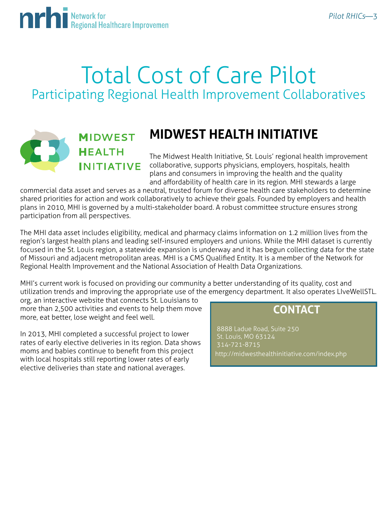

## Total Cost of Care Pilot Participating Regional Health Improvement Collaboratives



### **MIDWEST HEALTH INITIATIVE**

## **MIDWEST HEALTH INITIATIVE**

The Midwest Health Initiative, St. Louis' regional health improvement collaborative, supports physicians, employers, hospitals, health plans and consumers in improving the health and the quality and affordability of health care in its region. MHI stewards a large

commercial data asset and serves as a neutral, trusted forum for diverse health care stakeholders to determine shared priorities for action and work collaboratively to achieve their goals. Founded by employers and health plans in 2010, MHI is governed by a multi-stakeholder board. A robust committee structure ensures strong participation from all perspectives.

The MHI data asset includes eligibility, medical and pharmacy claims information on 1.2 million lives from the region's largest health plans and leading self-insured employers and unions. While the MHI dataset is currently focused in the St. Louis region, a statewide expansion is underway and it has begun collecting data for the state of Missouri and adjacent metropolitan areas. MHI is a CMS Qualified Entity. It is a member of the Network for Regional Health Improvement and the National Association of Health Data Organizations.

MHI's current work is focused on providing our community a better understanding of its quality, cost and utilization trends and improving the appropriate use of the emergency department. It also operates LIveWellSTL.

org, an interactive website that connects St. Louisians to more than 2,500 activities and events to help them move more, eat better, lose weight and feel well.

In 2013, MHI completed a successful project to lower rates of early elective deliveries in its region. Data shows moms and babies continue to benefit from this project with local hospitals still reporting lower rates of early elective deliveries than state and national averages.

#### **CONTACT**

 8888 Ladue Road, Suite 250 St. Louis, MO 63124 314-721-8715 http://midwesthealthinitiative.com/index.php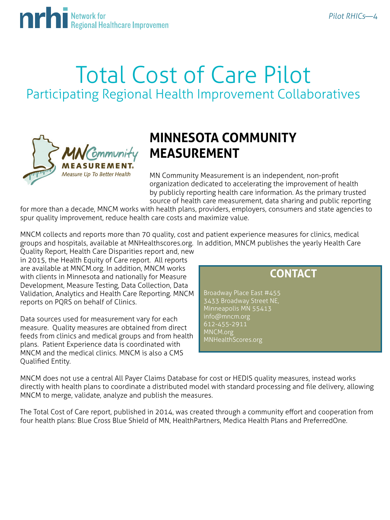

## Total Cost of Care Pilot Participating Regional Health Improvement Collaboratives



### **MINNESOTA COMMUNITY MEASUREMENT**

MN Community Measurement is an independent, non-profit organization dedicated to accelerating the improvement of health by publicly reporting health care information. As the primary trusted source of health care measurement, data sharing and public reporting

for more than a decade, MNCM works with health plans, providers, employers, consumers and state agencies to spur quality improvement, reduce health care costs and maximize value.

MNCM collects and reports more than 70 quality, cost and patient experience measures for clinics, medical groups and hospitals, available at MNHealthscores.org. In addition, MNCM publishes the yearly Health Care Quality Report, Health Care Disparities report and, new

in 2015, the Health Equity of Care report. All reports are available at MNCM.org. In addition, MNCM works with clients in Minnesota and nationally for Measure Development, Measure Testing, Data Collection, Data Validation, Analytics and Health Care Reporting. MNCM reports on PQRS on behalf of Clinics.

Data sources used for measurement vary for each measure. Quality measures are obtained from direct feeds from clinics and medical groups and from health plans. Patient Experience data is coordinated with MNCM and the medical clinics. MNCM is also a CMS Qualified Entity.

### **CONTACT**

Broadway Place East #455 3433 Broadway Street NE, Minneapolis MN 55413 info@mncm.org 612-455-2911 MNCM.org MNHealthScores.org

MNCM does not use a central All Payer Claims Database for cost or HEDIS quality measures, instead works directly with health plans to coordinate a distributed model with standard processing and file delivery, allowing MNCM to merge, validate, analyze and publish the measures.

The Total Cost of Care report, published in 2014, was created through a community effort and cooperation from four health plans: Blue Cross Blue Shield of MN, HealthPartners, Medica Health Plans and PreferredOne.